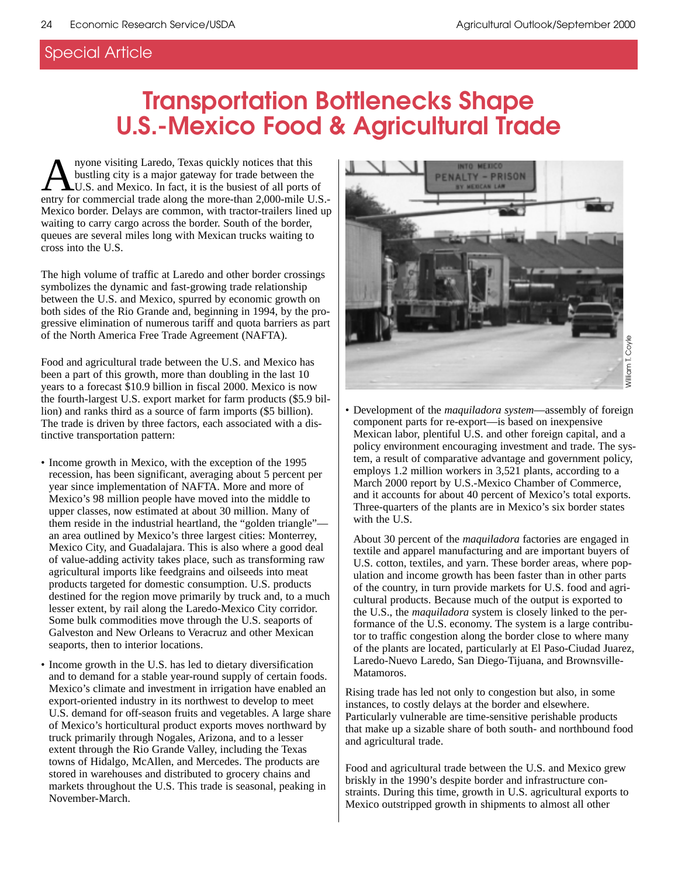# **Transportation Bottlenecks Shape U.S.-Mexico Food & Agricultural Trade**

nyone visiting Laredo, Texas quickly notices that this bustling city is a major gateway for trade between the U.S. and Mexico. In fact, it is the busiest of all ports of entry for commercial trade along the more-than 2,000-mile U.S.- Mexico border. Delays are common, with tractor-trailers lined up waiting to carry cargo across the border. South of the border, queues are several miles long with Mexican trucks waiting to cross into the U.S.

The high volume of traffic at Laredo and other border crossings symbolizes the dynamic and fast-growing trade relationship between the U.S. and Mexico, spurred by economic growth on both sides of the Rio Grande and, beginning in 1994, by the progressive elimination of numerous tariff and quota barriers as part of the North America Free Trade Agreement (NAFTA).

Food and agricultural trade between the U.S. and Mexico has been a part of this growth, more than doubling in the last 10 years to a forecast \$10.9 billion in fiscal 2000. Mexico is now the fourth-largest U.S. export market for farm products (\$5.9 billion) and ranks third as a source of farm imports (\$5 billion). The trade is driven by three factors, each associated with a distinctive transportation pattern:

- Income growth in Mexico, with the exception of the 1995 recession, has been significant, averaging about 5 percent per year since implementation of NAFTA. More and more of Mexico's 98 million people have moved into the middle to upper classes, now estimated at about 30 million. Many of them reside in the industrial heartland, the "golden triangle" an area outlined by Mexico's three largest cities: Monterrey, Mexico City, and Guadalajara. This is also where a good deal of value-adding activity takes place, such as transforming raw agricultural imports like feedgrains and oilseeds into meat products targeted for domestic consumption. U.S. products destined for the region move primarily by truck and, to a much lesser extent, by rail along the Laredo-Mexico City corridor. Some bulk commodities move through the U.S. seaports of Galveston and New Orleans to Veracruz and other Mexican seaports, then to interior locations.
- Income growth in the U.S. has led to dietary diversification and to demand for a stable year-round supply of certain foods. Mexico's climate and investment in irrigation have enabled an export-oriented industry in its northwest to develop to meet U.S. demand for off-season fruits and vegetables. A large share of Mexico's horticultural product exports moves northward by truck primarily through Nogales, Arizona, and to a lesser extent through the Rio Grande Valley, including the Texas towns of Hidalgo, McAllen, and Mercedes. The products are stored in warehouses and distributed to grocery chains and markets throughout the U.S. This trade is seasonal, peaking in November-March.



• Development of the *maquiladora system*—assembly of foreign component parts for re-export—is based on inexpensive Mexican labor, plentiful U.S. and other foreign capital, and a policy environment encouraging investment and trade. The system, a result of comparative advantage and government policy, employs 1.2 million workers in 3,521 plants, according to a March 2000 report by U.S.-Mexico Chamber of Commerce, and it accounts for about 40 percent of Mexico's total exports. Three-quarters of the plants are in Mexico's six border states with the U.S.

About 30 percent of the *maquiladora* factories are engaged in textile and apparel manufacturing and are important buyers of U.S. cotton, textiles, and yarn. These border areas, where population and income growth has been faster than in other parts of the country, in turn provide markets for U.S. food and agricultural products. Because much of the output is exported to the U.S., the *maquiladora* system is closely linked to the performance of the U.S. economy. The system is a large contributor to traffic congestion along the border close to where many of the plants are located, particularly at El Paso-Ciudad Juarez, Laredo-Nuevo Laredo, San Diego-Tijuana, and Brownsville-Matamoros.

Rising trade has led not only to congestion but also, in some instances, to costly delays at the border and elsewhere. Particularly vulnerable are time-sensitive perishable products that make up a sizable share of both south- and northbound food and agricultural trade.

Food and agricultural trade between the U.S. and Mexico grew briskly in the 1990's despite border and infrastructure constraints. During this time, growth in U.S. agricultural exports to Mexico outstripped growth in shipments to almost all other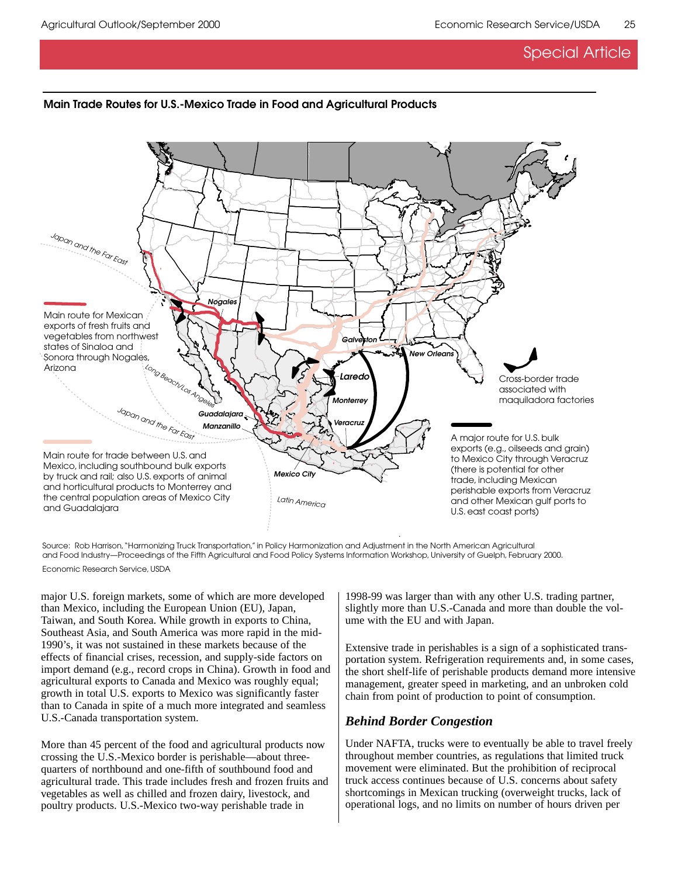## **Main Trade Routes for U.S.-Mexico Trade in Food and Agricultural Products**



Source: Rob Harrison, "Harmonizing Truck Transportation," in Policy Harmonization and Adjustment in the North American Agricultural and Food Industry—Proceedings of the Fifth Agricultural and Food Policy Systems Information Workshop, University of Guelph, February 2000. Economic Research Service, USDA

major U.S. foreign markets, some of which are more developed than Mexico, including the European Union (EU), Japan, Taiwan, and South Korea. While growth in exports to China, Southeast Asia, and South America was more rapid in the mid-1990's, it was not sustained in these markets because of the effects of financial crises, recession, and supply-side factors on import demand (e.g., record crops in China). Growth in food and agricultural exports to Canada and Mexico was roughly equal; growth in total U.S. exports to Mexico was significantly faster than to Canada in spite of a much more integrated and seamless U.S.-Canada transportation system.

More than 45 percent of the food and agricultural products now crossing the U.S.-Mexico border is perishable—about threequarters of northbound and one-fifth of southbound food and agricultural trade. This trade includes fresh and frozen fruits and vegetables as well as chilled and frozen dairy, livestock, and poultry products. U.S.-Mexico two-way perishable trade in

1998-99 was larger than with any other U.S. trading partner, slightly more than U.S.-Canada and more than double the volume with the EU and with Japan.

Extensive trade in perishables is a sign of a sophisticated transportation system. Refrigeration requirements and, in some cases, the short shelf-life of perishable products demand more intensive management, greater speed in marketing, and an unbroken cold chain from point of production to point of consumption.

# *Behind Border Congestion*

Under NAFTA, trucks were to eventually be able to travel freely throughout member countries, as regulations that limited truck movement were eliminated. But the prohibition of reciprocal truck access continues because of U.S. concerns about safety shortcomings in Mexican trucking (overweight trucks, lack of operational logs, and no limits on number of hours driven per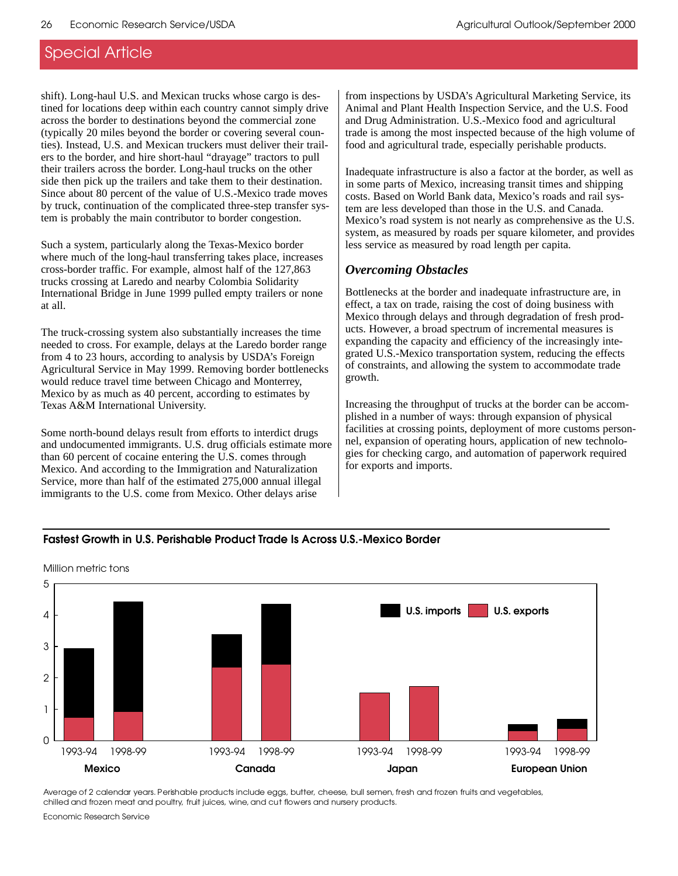shift). Long-haul U.S. and Mexican trucks whose cargo is destined for locations deep within each country cannot simply drive across the border to destinations beyond the commercial zone (typically 20 miles beyond the border or covering several counties). Instead, U.S. and Mexican truckers must deliver their trailers to the border, and hire short-haul "drayage" tractors to pull their trailers across the border. Long-haul trucks on the other side then pick up the trailers and take them to their destination. Since about 80 percent of the value of U.S.-Mexico trade moves by truck, continuation of the complicated three-step transfer system is probably the main contributor to border congestion.

Such a system, particularly along the Texas-Mexico border where much of the long-haul transferring takes place, increases cross-border traffic. For example, almost half of the 127,863 trucks crossing at Laredo and nearby Colombia Solidarity International Bridge in June 1999 pulled empty trailers or none at all.

The truck-crossing system also substantially increases the time needed to cross. For example, delays at the Laredo border range from 4 to 23 hours, according to analysis by USDA's Foreign Agricultural Service in May 1999. Removing border bottlenecks would reduce travel time between Chicago and Monterrey, Mexico by as much as 40 percent, according to estimates by Texas A&M International University.

Some north-bound delays result from efforts to interdict drugs and undocumented immigrants. U.S. drug officials estimate more than 60 percent of cocaine entering the U.S. comes through Mexico. And according to the Immigration and Naturalization Service, more than half of the estimated 275,000 annual illegal immigrants to the U.S. come from Mexico. Other delays arise

from inspections by USDA's Agricultural Marketing Service, its Animal and Plant Health Inspection Service, and the U.S. Food and Drug Administration. U.S.-Mexico food and agricultural trade is among the most inspected because of the high volume of food and agricultural trade, especially perishable products.

Inadequate infrastructure is also a factor at the border, as well as in some parts of Mexico, increasing transit times and shipping costs. Based on World Bank data, Mexico's roads and rail system are less developed than those in the U.S. and Canada. Mexico's road system is not nearly as comprehensive as the U.S. system, as measured by roads per square kilometer, and provides less service as measured by road length per capita.

### *Overcoming Obstacles*

Bottlenecks at the border and inadequate infrastructure are, in effect, a tax on trade, raising the cost of doing business with Mexico through delays and through degradation of fresh products. However, a broad spectrum of incremental measures is expanding the capacity and efficiency of the increasingly integrated U.S.-Mexico transportation system, reducing the effects of constraints, and allowing the system to accommodate trade growth.

Increasing the throughput of trucks at the border can be accomplished in a number of ways: through expansion of physical facilities at crossing points, deployment of more customs personnel, expansion of operating hours, application of new technologies for checking cargo, and automation of paperwork required for exports and imports.

### **Fastest Growth in U.S. Perishable Product Trade Is Across U.S.-Mexico Border**



Million metric tons

Average of 2 calendar years. Perishable products include eggs, butter, cheese, bull semen, fresh and frozen fruits and vegetables, chilled and frozen meat and poultry, fruit juices, wine, and cut flowers and nursery products.

Economic Research Service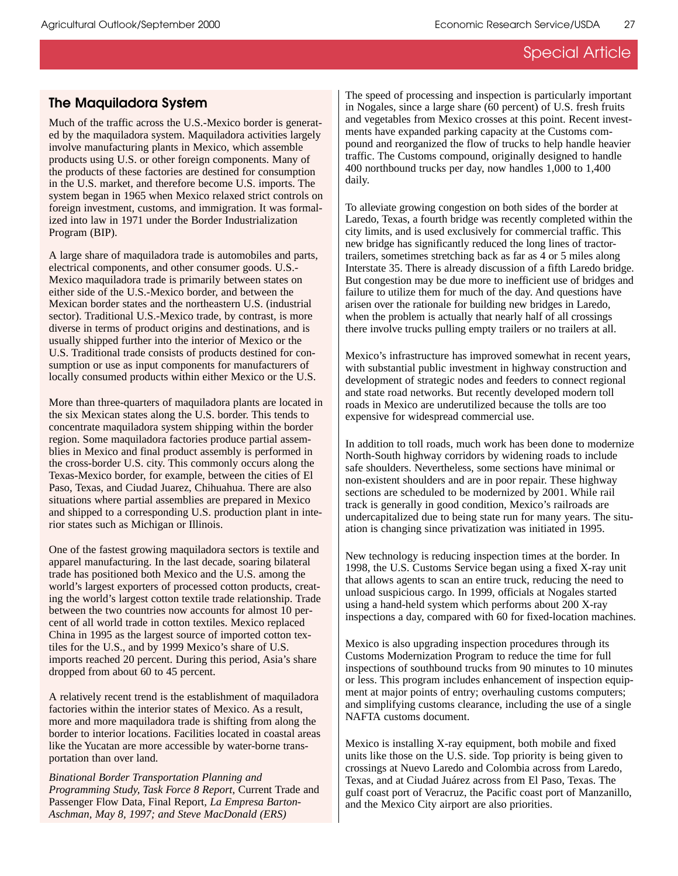# **The Maquiladora System**

Much of the traffic across the U.S.-Mexico border is generated by the maquiladora system. Maquiladora activities largely involve manufacturing plants in Mexico, which assemble products using U.S. or other foreign components. Many of the products of these factories are destined for consumption in the U.S. market, and therefore become U.S. imports. The system began in 1965 when Mexico relaxed strict controls on foreign investment, customs, and immigration. It was formalized into law in 1971 under the Border Industrialization Program (BIP).

A large share of maquiladora trade is automobiles and parts, electrical components, and other consumer goods. U.S.- Mexico maquiladora trade is primarily between states on either side of the U.S.-Mexico border, and between the Mexican border states and the northeastern U.S. (industrial sector). Traditional U.S.-Mexico trade, by contrast, is more diverse in terms of product origins and destinations, and is usually shipped further into the interior of Mexico or the U.S. Traditional trade consists of products destined for consumption or use as input components for manufacturers of locally consumed products within either Mexico or the U.S.

More than three-quarters of maquiladora plants are located in the six Mexican states along the U.S. border. This tends to concentrate maquiladora system shipping within the border region. Some maquiladora factories produce partial assemblies in Mexico and final product assembly is performed in the cross-border U.S. city. This commonly occurs along the Texas-Mexico border, for example, between the cities of El Paso, Texas, and Ciudad Juarez, Chihuahua. There are also situations where partial assemblies are prepared in Mexico and shipped to a corresponding U.S. production plant in interior states such as Michigan or Illinois.

One of the fastest growing maquiladora sectors is textile and apparel manufacturing. In the last decade, soaring bilateral trade has positioned both Mexico and the U.S. among the world's largest exporters of processed cotton products, creating the world's largest cotton textile trade relationship. Trade between the two countries now accounts for almost 10 percent of all world trade in cotton textiles. Mexico replaced China in 1995 as the largest source of imported cotton textiles for the U.S., and by 1999 Mexico's share of U.S. imports reached 20 percent. During this period, Asia's share dropped from about 60 to 45 percent.

A relatively recent trend is the establishment of maquiladora factories within the interior states of Mexico. As a result, more and more maquiladora trade is shifting from along the border to interior locations. Facilities located in coastal areas like the Yucatan are more accessible by water-borne transportation than over land.

*Binational Border Transportation Planning and Programming Study, Task Force 8 Report,* Current Trade and Passenger Flow Data, Final Report*, La Empresa Barton-Aschman, May 8, 1997; and Steve MacDonald (ERS)*

The speed of processing and inspection is particularly important in Nogales, since a large share (60 percent) of U.S. fresh fruits and vegetables from Mexico crosses at this point. Recent investments have expanded parking capacity at the Customs compound and reorganized the flow of trucks to help handle heavier traffic. The Customs compound, originally designed to handle 400 northbound trucks per day, now handles 1,000 to 1,400 daily.

To alleviate growing congestion on both sides of the border at Laredo, Texas, a fourth bridge was recently completed within the city limits, and is used exclusively for commercial traffic. This new bridge has significantly reduced the long lines of tractortrailers, sometimes stretching back as far as 4 or 5 miles along Interstate 35. There is already discussion of a fifth Laredo bridge. But congestion may be due more to inefficient use of bridges and failure to utilize them for much of the day. And questions have arisen over the rationale for building new bridges in Laredo, when the problem is actually that nearly half of all crossings there involve trucks pulling empty trailers or no trailers at all.

Mexico's infrastructure has improved somewhat in recent years, with substantial public investment in highway construction and development of strategic nodes and feeders to connect regional and state road networks. But recently developed modern toll roads in Mexico are underutilized because the tolls are too expensive for widespread commercial use.

In addition to toll roads, much work has been done to modernize North-South highway corridors by widening roads to include safe shoulders. Nevertheless, some sections have minimal or non-existent shoulders and are in poor repair. These highway sections are scheduled to be modernized by 2001. While rail track is generally in good condition, Mexico's railroads are undercapitalized due to being state run for many years. The situation is changing since privatization was initiated in 1995.

New technology is reducing inspection times at the border. In 1998, the U.S. Customs Service began using a fixed X-ray unit that allows agents to scan an entire truck, reducing the need to unload suspicious cargo. In 1999, officials at Nogales started using a hand-held system which performs about 200 X-ray inspections a day, compared with 60 for fixed-location machines.

Mexico is also upgrading inspection procedures through its Customs Modernization Program to reduce the time for full inspections of southbound trucks from 90 minutes to 10 minutes or less. This program includes enhancement of inspection equipment at major points of entry; overhauling customs computers; and simplifying customs clearance, including the use of a single NAFTA customs document.

Mexico is installing X-ray equipment, both mobile and fixed units like those on the U.S. side. Top priority is being given to crossings at Nuevo Laredo and Colombia across from Laredo, Texas, and at Ciudad Juárez across from El Paso, Texas. The gulf coast port of Veracruz, the Pacific coast port of Manzanillo, and the Mexico City airport are also priorities.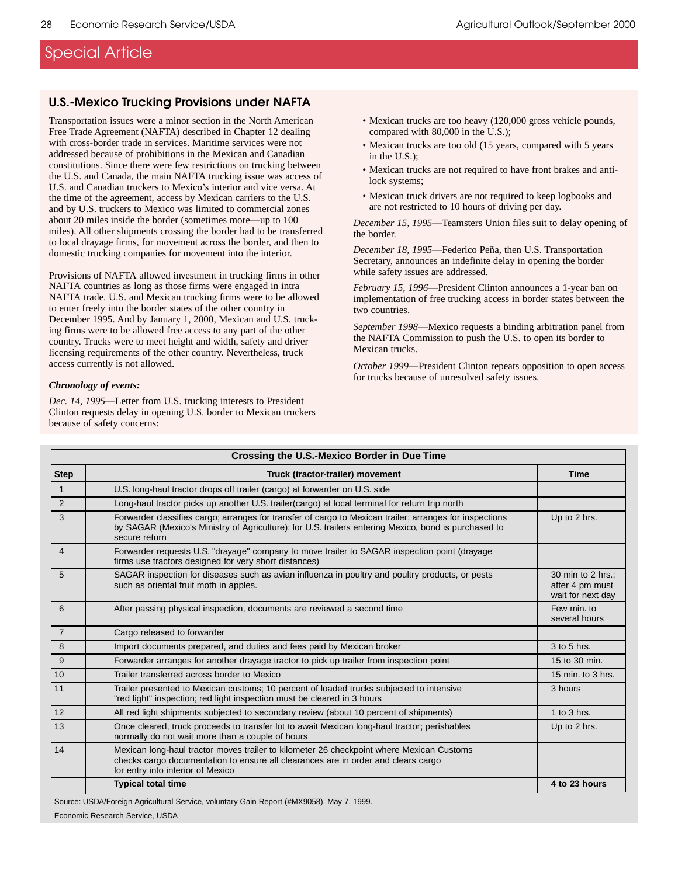### **U.S.-Mexico Trucking Provisions under NAFTA**

Transportation issues were a minor section in the North American Free Trade Agreement (NAFTA) described in Chapter 12 dealing with cross-border trade in services. Maritime services were not addressed because of prohibitions in the Mexican and Canadian constitutions. Since there were few restrictions on trucking between the U.S. and Canada, the main NAFTA trucking issue was access of U.S. and Canadian truckers to Mexico's interior and vice versa. At the time of the agreement, access by Mexican carriers to the U.S. and by U.S. truckers to Mexico was limited to commercial zones about 20 miles inside the border (sometimes more—up to 100 miles). All other shipments crossing the border had to be transferred to local drayage firms, for movement across the border, and then to domestic trucking companies for movement into the interior.

Provisions of NAFTA allowed investment in trucking firms in other NAFTA countries as long as those firms were engaged in intra NAFTA trade. U.S. and Mexican trucking firms were to be allowed to enter freely into the border states of the other country in December 1995. And by January 1, 2000, Mexican and U.S. trucking firms were to be allowed free access to any part of the other country. Trucks were to meet height and width, safety and driver licensing requirements of the other country. Nevertheless, truck access currently is not allowed.

#### *Chronology of events:*

*Dec. 14, 1995*—Letter from U.S. trucking interests to President Clinton requests delay in opening U.S. border to Mexican truckers because of safety concerns:

- Mexican trucks are too heavy (120,000 gross vehicle pounds, compared with 80,000 in the U.S.);
- Mexican trucks are too old (15 years, compared with 5 years in the U.S.);
- Mexican trucks are not required to have front brakes and antilock systems;
- Mexican truck drivers are not required to keep logbooks and are not restricted to 10 hours of driving per day.

*December 15, 1995*—Teamsters Union files suit to delay opening of the border.

*December 18, 1995*—Federico Peña, then U.S. Transportation Secretary, announces an indefinite delay in opening the border while safety issues are addressed.

*February 15, 1996*—President Clinton announces a 1-year ban on implementation of free trucking access in border states between the two countries.

*September 1998*—Mexico requests a binding arbitration panel from the NAFTA Commission to push the U.S. to open its border to Mexican trucks.

*October 1999*—President Clinton repeats opposition to open access for trucks because of unresolved safety issues.

| Crossing the U.S.-Mexico Border in Due Time |                                                                                                                                                                                                                                  |                                                           |
|---------------------------------------------|----------------------------------------------------------------------------------------------------------------------------------------------------------------------------------------------------------------------------------|-----------------------------------------------------------|
| <b>Step</b>                                 | Truck (tractor-trailer) movement                                                                                                                                                                                                 | <b>Time</b>                                               |
| $\mathbf{1}$                                | U.S. long-haul tractor drops off trailer (cargo) at forwarder on U.S. side                                                                                                                                                       |                                                           |
| 2                                           | Long-haul tractor picks up another U.S. trailer (cargo) at local terminal for return trip north                                                                                                                                  |                                                           |
| 3                                           | Forwarder classifies cargo; arranges for transfer of cargo to Mexican trailer; arranges for inspections<br>by SAGAR (Mexico's Ministry of Agriculture); for U.S. trailers entering Mexico, bond is purchased to<br>secure return | Up to 2 hrs.                                              |
| $\overline{4}$                              | Forwarder requests U.S. "drayage" company to move trailer to SAGAR inspection point (drayage<br>firms use tractors designed for very short distances)                                                                            |                                                           |
| 5                                           | SAGAR inspection for diseases such as avian influenza in poultry and poultry products, or pests<br>such as oriental fruit moth in apples.                                                                                        | 30 min to 2 hrs.:<br>after 4 pm must<br>wait for next day |
| 6                                           | After passing physical inspection, documents are reviewed a second time                                                                                                                                                          | Few min. to<br>several hours                              |
| $\overline{7}$                              | Cargo released to forwarder                                                                                                                                                                                                      |                                                           |
| 8                                           | Import documents prepared, and duties and fees paid by Mexican broker                                                                                                                                                            | 3 to 5 hrs.                                               |
| 9                                           | Forwarder arranges for another drayage tractor to pick up trailer from inspection point                                                                                                                                          | 15 to 30 min.                                             |
| 10                                          | Trailer transferred across border to Mexico                                                                                                                                                                                      | 15 min. to 3 hrs.                                         |
| 11                                          | Trailer presented to Mexican customs; 10 percent of loaded trucks subjected to intensive<br>"red light" inspection; red light inspection must be cleared in 3 hours                                                              | 3 hours                                                   |
| 12                                          | All red light shipments subjected to secondary review (about 10 percent of shipments)                                                                                                                                            | 1 to $3$ hrs.                                             |
| 13                                          | Once cleared, truck proceeds to transfer lot to await Mexican long-haul tractor; perishables<br>normally do not wait more than a couple of hours                                                                                 | Up to 2 hrs.                                              |
| 14                                          | Mexican long-haul tractor moves trailer to kilometer 26 checkpoint where Mexican Customs<br>checks cargo documentation to ensure all clearances are in order and clears cargo<br>for entry into interior of Mexico               |                                                           |
|                                             | <b>Typical total time</b>                                                                                                                                                                                                        | 4 to 23 hours                                             |

Source: USDA/Foreign Agricultural Service, voluntary Gain Report (#MX9058), May 7, 1999. Economic Research Service, USDA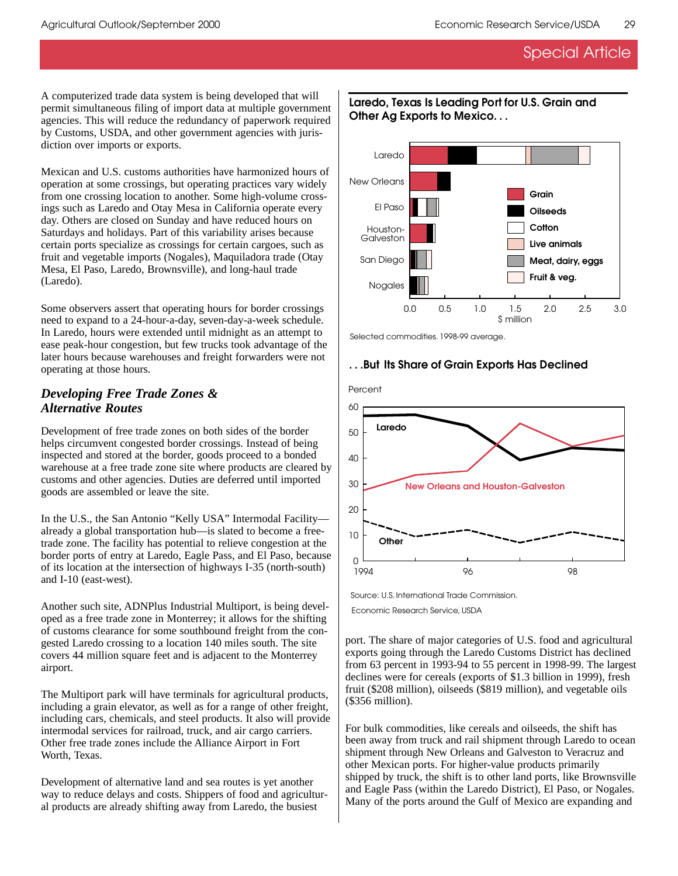A computerized trade data system is being developed that will permit simultaneous filing of import data at multiple government agencies. This will reduce the redundancy of paperwork required by Customs, USDA, and other government agencies with jurisdiction over imports or exports.

Mexican and U.S. customs authorities have harmonized hours of operation at some crossings, but operating practices vary widely from one crossing location to another. Some high-volume crossings such as Laredo and Otay Mesa in California operate every day. Others are closed on Sunday and have reduced hours on Saturdays and holidays. Part of this variability arises because certain ports specialize as crossings for certain cargoes, such as fruit and vegetable imports (Nogales), Maquiladora trade (Otay Mesa, El Paso, Laredo, Brownsville), and long-haul trade (Laredo).

Some observers assert that operating hours for border crossings need to expand to a 24-hour-a-day, seven-day-a-week schedule. In Laredo, hours were extended until midnight as an attempt to ease peak-hour congestion, but few trucks took advantage of the later hours because warehouses and freight forwarders were not operating at those hours.

### *Developing Free Trade Zones & Alternative Routes*

Development of free trade zones on both sides of the border helps circumvent congested border crossings. Instead of being inspected and stored at the border, goods proceed to a bonded warehouse at a free trade zone site where products are cleared by customs and other agencies. Duties are deferred until imported goods are assembled or leave the site.

In the U.S., the San Antonio "Kelly USA" Intermodal Facility already a global transportation hub—is slated to become a freetrade zone. The facility has potential to relieve congestion at the border ports of entry at Laredo, Eagle Pass, and El Paso, because of its location at the intersection of highways I-35 (north-south) and I-10 (east-west).

Another such site, ADNPlus Industrial Multiport, is being developed as a free trade zone in Monterrey; it allows for the shifting of customs clearance for some southbound freight from the congested Laredo crossing to a location 140 miles south. The site covers 44 million square feet and is adjacent to the Monterrey airport.

The Multiport park will have terminals for agricultural products, including a grain elevator, as well as for a range of other freight, including cars, chemicals, and steel products. It also will provide intermodal services for railroad, truck, and air cargo carriers. Other free trade zones include the Alliance Airport in Fort Worth, Texas.

Development of alternative land and sea routes is yet another way to reduce delays and costs. Shippers of food and agricultural products are already shifting away from Laredo, the busiest



### **Laredo, Texas Is Leading Port for U.S. Grain and Other Ag Exports to Mexico. . .**

Selected commodities. 1998-99 average.



### **. . .But Its Share of Grain Exports Has Declined**

Source: U.S. International Trade Commission.

Economic Research Service, USDA

port. The share of major categories of U.S. food and agricultural exports going through the Laredo Customs District has declined from 63 percent in 1993-94 to 55 percent in 1998-99. The largest declines were for cereals (exports of \$1.3 billion in 1999), fresh fruit (\$208 million), oilseeds (\$819 million), and vegetable oils (\$356 million).

For bulk commodities, like cereals and oilseeds, the shift has been away from truck and rail shipment through Laredo to ocean shipment through New Orleans and Galveston to Veracruz and other Mexican ports. For higher-value products primarily shipped by truck, the shift is to other land ports, like Brownsville and Eagle Pass (within the Laredo District), El Paso, or Nogales. Many of the ports around the Gulf of Mexico are expanding and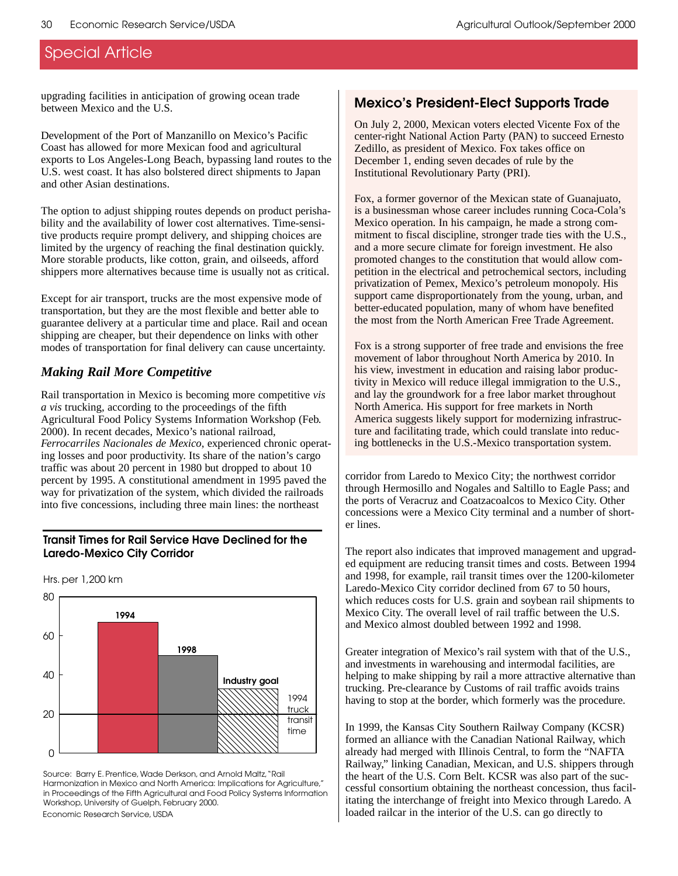upgrading facilities in anticipation of growing ocean trade between Mexico and the U.S.

Development of the Port of Manzanillo on Mexico's Pacific Coast has allowed for more Mexican food and agricultural exports to Los Angeles-Long Beach, bypassing land routes to the U.S. west coast. It has also bolstered direct shipments to Japan and other Asian destinations.

The option to adjust shipping routes depends on product perishability and the availability of lower cost alternatives. Time-sensitive products require prompt delivery, and shipping choices are limited by the urgency of reaching the final destination quickly. More storable products, like cotton, grain, and oilseeds, afford shippers more alternatives because time is usually not as critical.

Except for air transport, trucks are the most expensive mode of transportation, but they are the most flexible and better able to guarantee delivery at a particular time and place. Rail and ocean shipping are cheaper, but their dependence on links with other modes of transportation for final delivery can cause uncertainty.

# *Making Rail More Competitive*

Rail transportation in Mexico is becoming more competitive *vis a vis* trucking, according to the proceedings of the fifth Agricultural Food Policy Systems Information Workshop (Feb. 2000). In recent decades, Mexico's national railroad, *Ferrocarriles Nacionales de Mexico*, experienced chronic operating losses and poor productivity. Its share of the nation's cargo traffic was about 20 percent in 1980 but dropped to about 10 percent by 1995. A constitutional amendment in 1995 paved the way for privatization of the system, which divided the railroads into five concessions, including three main lines: the northeast

### **Transit Times for Rail Service Have Declined for the Laredo-Mexico City Corridor**



Hrs. per 1,200 km

Source: Barry E. Prentice, Wade Derkson, and Arnold Maltz, "Rail Harmonization in Mexico and North America: Implications for Agriculture," in Proceedings of the Fifth Agricultural and Food Policy Systems Information Workshop, University of Guelph, February 2000. Economic Research Service, USDA

## **Mexico's President-Elect Supports Trade**

On July 2, 2000, Mexican voters elected Vicente Fox of the center-right National Action Party (PAN) to succeed Ernesto Zedillo, as president of Mexico. Fox takes office on December 1, ending seven decades of rule by the Institutional Revolutionary Party (PRI).

Fox, a former governor of the Mexican state of Guanajuato, is a businessman whose career includes running Coca-Cola's Mexico operation. In his campaign, he made a strong commitment to fiscal discipline, stronger trade ties with the U.S., and a more secure climate for foreign investment. He also promoted changes to the constitution that would allow competition in the electrical and petrochemical sectors, including privatization of Pemex, Mexico's petroleum monopoly. His support came disproportionately from the young, urban, and better-educated population, many of whom have benefited the most from the North American Free Trade Agreement.

Fox is a strong supporter of free trade and envisions the free movement of labor throughout North America by 2010. In his view, investment in education and raising labor productivity in Mexico will reduce illegal immigration to the U.S., and lay the groundwork for a free labor market throughout North America. His support for free markets in North America suggests likely support for modernizing infrastructure and facilitating trade, which could translate into reducing bottlenecks in the U.S.-Mexico transportation system.

corridor from Laredo to Mexico City; the northwest corridor through Hermosillo and Nogales and Saltillo to Eagle Pass; and the ports of Veracruz and Coatzacoalcos to Mexico City. Other concessions were a Mexico City terminal and a number of shorter lines.

The report also indicates that improved management and upgraded equipment are reducing transit times and costs. Between 1994 and 1998, for example, rail transit times over the 1200-kilometer Laredo-Mexico City corridor declined from 67 to 50 hours, which reduces costs for U.S. grain and soybean rail shipments to Mexico City. The overall level of rail traffic between the U.S. and Mexico almost doubled between 1992 and 1998.

Greater integration of Mexico's rail system with that of the U.S., and investments in warehousing and intermodal facilities, are helping to make shipping by rail a more attractive alternative than trucking. Pre-clearance by Customs of rail traffic avoids trains having to stop at the border, which formerly was the procedure.

In 1999, the Kansas City Southern Railway Company (KCSR) formed an alliance with the Canadian National Railway, which already had merged with Illinois Central, to form the "NAFTA Railway," linking Canadian, Mexican, and U.S. shippers through the heart of the U.S. Corn Belt. KCSR was also part of the successful consortium obtaining the northeast concession, thus facilitating the interchange of freight into Mexico through Laredo. A loaded railcar in the interior of the U.S. can go directly to